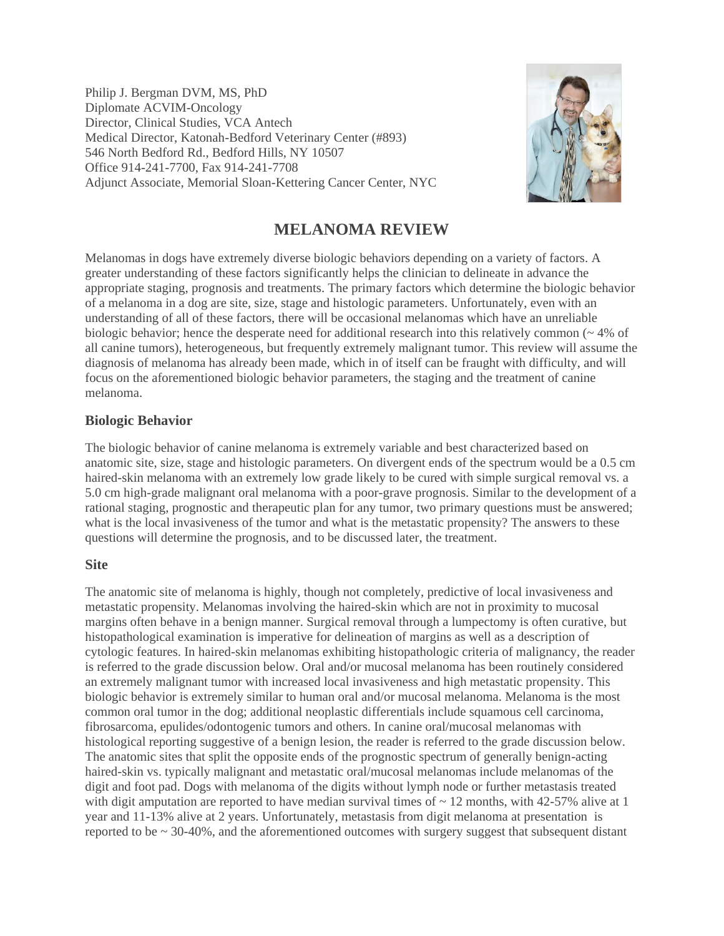Philip J. Bergman DVM, MS, PhD Diplomate ACVIM-Oncology Director, Clinical Studies, VCA Antech Medical Director, Katonah-Bedford Veterinary Center (#893) 546 North Bedford Rd., Bedford Hills, NY 10507 Office 914-241-7700, Fax 914-241-7708 Adjunct Associate, Memorial Sloan-Kettering Cancer Center, NYC



# **MELANOMA REVIEW**

Melanomas in dogs have extremely diverse biologic behaviors depending on a variety of factors. A greater understanding of these factors significantly helps the clinician to delineate in advance the appropriate staging, prognosis and treatments. The primary factors which determine the biologic behavior of a melanoma in a dog are site, size, stage and histologic parameters. Unfortunately, even with an understanding of all of these factors, there will be occasional melanomas which have an unreliable biologic behavior; hence the desperate need for additional research into this relatively common (~ 4% of all canine tumors), heterogeneous, but frequently extremely malignant tumor. This review will assume the diagnosis of melanoma has already been made, which in of itself can be fraught with difficulty, and will focus on the aforementioned biologic behavior parameters, the staging and the treatment of canine melanoma.

# **Biologic Behavior**

The biologic behavior of canine melanoma is extremely variable and best characterized based on anatomic site, size, stage and histologic parameters. On divergent ends of the spectrum would be a 0.5 cm haired-skin melanoma with an extremely low grade likely to be cured with simple surgical removal vs. a 5.0 cm high-grade malignant oral melanoma with a poor-grave prognosis. Similar to the development of a rational staging, prognostic and therapeutic plan for any tumor, two primary questions must be answered; what is the local invasiveness of the tumor and what is the metastatic propensity? The answers to these questions will determine the prognosis, and to be discussed later, the treatment.

### **Site**

The anatomic site of melanoma is highly, though not completely, predictive of local invasiveness and metastatic propensity. Melanomas involving the haired-skin which are not in proximity to mucosal margins often behave in a benign manner. Surgical removal through a lumpectomy is often curative, but histopathological examination is imperative for delineation of margins as well as a description of cytologic features. In haired-skin melanomas exhibiting histopathologic criteria of malignancy, the reader is referred to the grade discussion below. Oral and/or mucosal melanoma has been routinely considered an extremely malignant tumor with increased local invasiveness and high metastatic propensity. This biologic behavior is extremely similar to human oral and/or mucosal melanoma. Melanoma is the most common oral tumor in the dog; additional neoplastic differentials include squamous cell carcinoma, fibrosarcoma, epulides/odontogenic tumors and others. In canine oral/mucosal melanomas with histological reporting suggestive of a benign lesion, the reader is referred to the grade discussion below. The anatomic sites that split the opposite ends of the prognostic spectrum of generally benign-acting haired-skin vs. typically malignant and metastatic oral/mucosal melanomas include melanomas of the digit and foot pad. Dogs with melanoma of the digits without lymph node or further metastasis treated with digit amputation are reported to have median survival times of  $\sim$  12 months, with 42-57% alive at 1 year and 11-13% alive at 2 years. Unfortunately, metastasis from digit melanoma at presentation is reported to be ~ 30-40%, and the aforementioned outcomes with surgery suggest that subsequent distant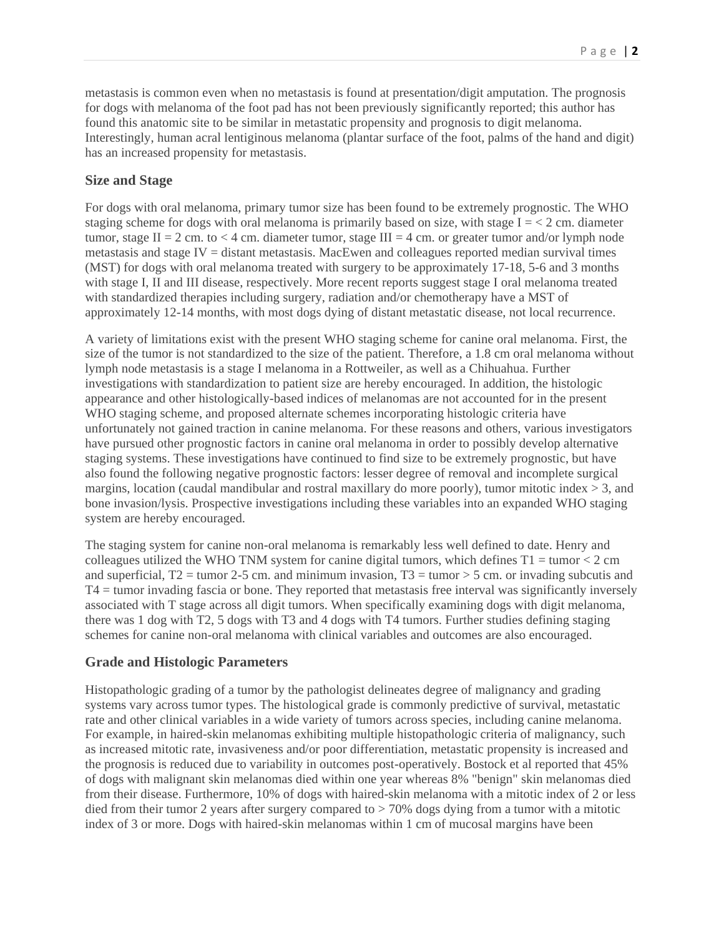metastasis is common even when no metastasis is found at presentation/digit amputation. The prognosis for dogs with melanoma of the foot pad has not been previously significantly reported; this author has found this anatomic site to be similar in metastatic propensity and prognosis to digit melanoma. Interestingly, human acral lentiginous melanoma (plantar surface of the foot, palms of the hand and digit) has an increased propensity for metastasis.

# **Size and Stage**

For dogs with oral melanoma, primary tumor size has been found to be extremely prognostic. The WHO staging scheme for dogs with oral melanoma is primarily based on size, with stage  $I = \langle 2 \text{ cm.} \rangle$  diameter tumor, stage  $II = 2$  cm. to  $<$  4 cm. diameter tumor, stage  $III = 4$  cm. or greater tumor and/or lymph node metastasis and stage IV = distant metastasis. MacEwen and colleagues reported median survival times (MST) for dogs with oral melanoma treated with surgery to be approximately 17-18, 5-6 and 3 months with stage I, II and III disease, respectively. More recent reports suggest stage I oral melanoma treated with standardized therapies including surgery, radiation and/or chemotherapy have a MST of approximately 12-14 months, with most dogs dying of distant metastatic disease, not local recurrence.

A variety of limitations exist with the present WHO staging scheme for canine oral melanoma. First, the size of the tumor is not standardized to the size of the patient. Therefore, a 1.8 cm oral melanoma without lymph node metastasis is a stage I melanoma in a Rottweiler, as well as a Chihuahua. Further investigations with standardization to patient size are hereby encouraged. In addition, the histologic appearance and other histologically-based indices of melanomas are not accounted for in the present WHO staging scheme, and proposed alternate schemes incorporating histologic criteria have unfortunately not gained traction in canine melanoma. For these reasons and others, various investigators have pursued other prognostic factors in canine oral melanoma in order to possibly develop alternative staging systems. These investigations have continued to find size to be extremely prognostic, but have also found the following negative prognostic factors: lesser degree of removal and incomplete surgical margins, location (caudal mandibular and rostral maxillary do more poorly), tumor mitotic index  $> 3$ , and bone invasion/lysis. Prospective investigations including these variables into an expanded WHO staging system are hereby encouraged.

The staging system for canine non-oral melanoma is remarkably less well defined to date. Henry and colleagues utilized the WHO TNM system for canine digital tumors, which defines  $T_1 = \text{tumor} < 2 \text{ cm}$ and superficial,  $T2 =$  tumor 2-5 cm. and minimum invasion,  $T3 =$  tumor > 5 cm. or invading subcutis and T4 = tumor invading fascia or bone. They reported that metastasis free interval was significantly inversely associated with T stage across all digit tumors. When specifically examining dogs with digit melanoma, there was 1 dog with T2, 5 dogs with T3 and 4 dogs with T4 tumors. Further studies defining staging schemes for canine non-oral melanoma with clinical variables and outcomes are also encouraged.

# **Grade and Histologic Parameters**

Histopathologic grading of a tumor by the pathologist delineates degree of malignancy and grading systems vary across tumor types. The histological grade is commonly predictive of survival, metastatic rate and other clinical variables in a wide variety of tumors across species, including canine melanoma. For example, in haired-skin melanomas exhibiting multiple histopathologic criteria of malignancy, such as increased mitotic rate, invasiveness and/or poor differentiation, metastatic propensity is increased and the prognosis is reduced due to variability in outcomes post-operatively. Bostock et al reported that 45% of dogs with malignant skin melanomas died within one year whereas 8% "benign" skin melanomas died from their disease. Furthermore, 10% of dogs with haired-skin melanoma with a mitotic index of 2 or less died from their tumor 2 years after surgery compared to > 70% dogs dying from a tumor with a mitotic index of 3 or more. Dogs with haired-skin melanomas within 1 cm of mucosal margins have been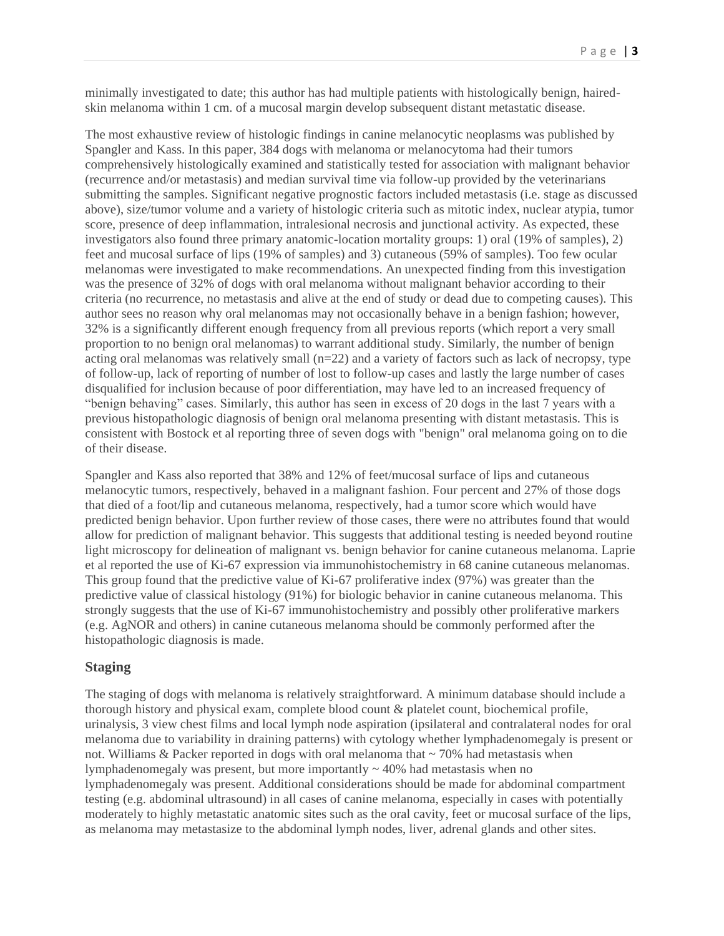minimally investigated to date; this author has had multiple patients with histologically benign, hairedskin melanoma within 1 cm. of a mucosal margin develop subsequent distant metastatic disease.

The most exhaustive review of histologic findings in canine melanocytic neoplasms was published by Spangler and Kass. In this paper, 384 dogs with melanoma or melanocytoma had their tumors comprehensively histologically examined and statistically tested for association with malignant behavior (recurrence and/or metastasis) and median survival time via follow-up provided by the veterinarians submitting the samples. Significant negative prognostic factors included metastasis (i.e. stage as discussed above), size/tumor volume and a variety of histologic criteria such as mitotic index, nuclear atypia, tumor score, presence of deep inflammation, intralesional necrosis and junctional activity. As expected, these investigators also found three primary anatomic-location mortality groups: 1) oral (19% of samples), 2) feet and mucosal surface of lips (19% of samples) and 3) cutaneous (59% of samples). Too few ocular melanomas were investigated to make recommendations. An unexpected finding from this investigation was the presence of 32% of dogs with oral melanoma without malignant behavior according to their criteria (no recurrence, no metastasis and alive at the end of study or dead due to competing causes). This author sees no reason why oral melanomas may not occasionally behave in a benign fashion; however, 32% is a significantly different enough frequency from all previous reports (which report a very small proportion to no benign oral melanomas) to warrant additional study. Similarly, the number of benign acting oral melanomas was relatively small  $(n=22)$  and a variety of factors such as lack of necropsy, type of follow-up, lack of reporting of number of lost to follow-up cases and lastly the large number of cases disqualified for inclusion because of poor differentiation, may have led to an increased frequency of "benign behaving" cases. Similarly, this author has seen in excess of 20 dogs in the last 7 years with a previous histopathologic diagnosis of benign oral melanoma presenting with distant metastasis. This is consistent with Bostock et al reporting three of seven dogs with "benign" oral melanoma going on to die of their disease.

Spangler and Kass also reported that 38% and 12% of feet/mucosal surface of lips and cutaneous melanocytic tumors, respectively, behaved in a malignant fashion. Four percent and 27% of those dogs that died of a foot/lip and cutaneous melanoma, respectively, had a tumor score which would have predicted benign behavior. Upon further review of those cases, there were no attributes found that would allow for prediction of malignant behavior. This suggests that additional testing is needed beyond routine light microscopy for delineation of malignant vs. benign behavior for canine cutaneous melanoma. Laprie et al reported the use of Ki-67 expression via immunohistochemistry in 68 canine cutaneous melanomas. This group found that the predictive value of Ki-67 proliferative index (97%) was greater than the predictive value of classical histology (91%) for biologic behavior in canine cutaneous melanoma. This strongly suggests that the use of Ki-67 immunohistochemistry and possibly other proliferative markers (e.g. AgNOR and others) in canine cutaneous melanoma should be commonly performed after the histopathologic diagnosis is made.

#### **Staging**

The staging of dogs with melanoma is relatively straightforward. A minimum database should include a thorough history and physical exam, complete blood count & platelet count, biochemical profile, urinalysis, 3 view chest films and local lymph node aspiration (ipsilateral and contralateral nodes for oral melanoma due to variability in draining patterns) with cytology whether lymphadenomegaly is present or not. Williams  $&$  Packer reported in dogs with oral melanoma that  $\sim$  70% had metastasis when lymphadenomegaly was present, but more importantly  $\sim$  40% had metastasis when no lymphadenomegaly was present. Additional considerations should be made for abdominal compartment testing (e.g. abdominal ultrasound) in all cases of canine melanoma, especially in cases with potentially moderately to highly metastatic anatomic sites such as the oral cavity, feet or mucosal surface of the lips, as melanoma may metastasize to the abdominal lymph nodes, liver, adrenal glands and other sites.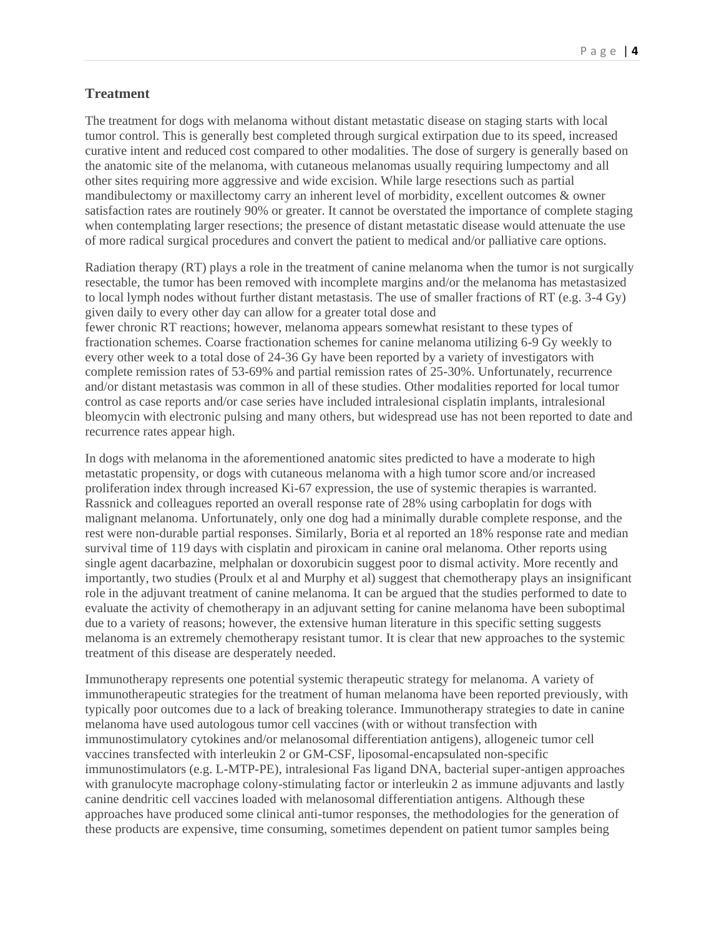# **Treatment**

The treatment for dogs with melanoma without distant metastatic disease on staging starts with local tumor control. This is generally best completed through surgical extirpation due to its speed, increased curative intent and reduced cost compared to other modalities. The dose of surgery is generally based on the anatomic site of the melanoma, with cutaneous melanomas usually requiring lumpectomy and all other sites requiring more aggressive and wide excision. While large resections such as partial mandibulectomy or maxillectomy carry an inherent level of morbidity, excellent outcomes & owner satisfaction rates are routinely 90% or greater. It cannot be overstated the importance of complete staging when contemplating larger resections; the presence of distant metastatic disease would attenuate the use of more radical surgical procedures and convert the patient to medical and/or palliative care options.

Radiation therapy (RT) plays a role in the treatment of canine melanoma when the tumor is not surgically resectable, the tumor has been removed with incomplete margins and/or the melanoma has metastasized to local lymph nodes without further distant metastasis. The use of smaller fractions of RT (e.g. 3-4 Gy) given daily to every other day can allow for a greater total dose and

fewer chronic RT reactions; however, melanoma appears somewhat resistant to these types of fractionation schemes. Coarse fractionation schemes for canine melanoma utilizing 6-9 Gy weekly to every other week to a total dose of 24-36 Gy have been reported by a variety of investigators with complete remission rates of 53-69% and partial remission rates of 25-30%. Unfortunately, recurrence and/or distant metastasis was common in all of these studies. Other modalities reported for local tumor control as case reports and/or case series have included intralesional cisplatin implants, intralesional bleomycin with electronic pulsing and many others, but widespread use has not been reported to date and recurrence rates appear high.

In dogs with melanoma in the aforementioned anatomic sites predicted to have a moderate to high metastatic propensity, or dogs with cutaneous melanoma with a high tumor score and/or increased proliferation index through increased Ki-67 expression, the use of systemic therapies is warranted. Rassnick and colleagues reported an overall response rate of 28% using carboplatin for dogs with malignant melanoma. Unfortunately, only one dog had a minimally durable complete response, and the rest were non-durable partial responses. Similarly, Boria et al reported an 18% response rate and median survival time of 119 days with cisplatin and piroxicam in canine oral melanoma. Other reports using single agent dacarbazine, melphalan or doxorubicin suggest poor to dismal activity. More recently and importantly, two studies (Proulx et al and Murphy et al) suggest that chemotherapy plays an insignificant role in the adjuvant treatment of canine melanoma. It can be argued that the studies performed to date to evaluate the activity of chemotherapy in an adjuvant setting for canine melanoma have been suboptimal due to a variety of reasons; however, the extensive human literature in this specific setting suggests melanoma is an extremely chemotherapy resistant tumor. It is clear that new approaches to the systemic treatment of this disease are desperately needed.

Immunotherapy represents one potential systemic therapeutic strategy for melanoma. A variety of immunotherapeutic strategies for the treatment of human melanoma have been reported previously, with typically poor outcomes due to a lack of breaking tolerance. Immunotherapy strategies to date in canine melanoma have used autologous tumor cell vaccines (with or without transfection with immunostimulatory cytokines and/or melanosomal differentiation antigens), allogeneic tumor cell vaccines transfected with interleukin 2 or GM-CSF, liposomal-encapsulated non-specific immunostimulators (e.g. L-MTP-PE), intralesional Fas ligand DNA, bacterial super-antigen approaches with granulocyte macrophage colony-stimulating factor or interleukin 2 as immune adjuvants and lastly canine dendritic cell vaccines loaded with melanosomal differentiation antigens. Although these approaches have produced some clinical anti-tumor responses, the methodologies for the generation of these products are expensive, time consuming, sometimes dependent on patient tumor samples being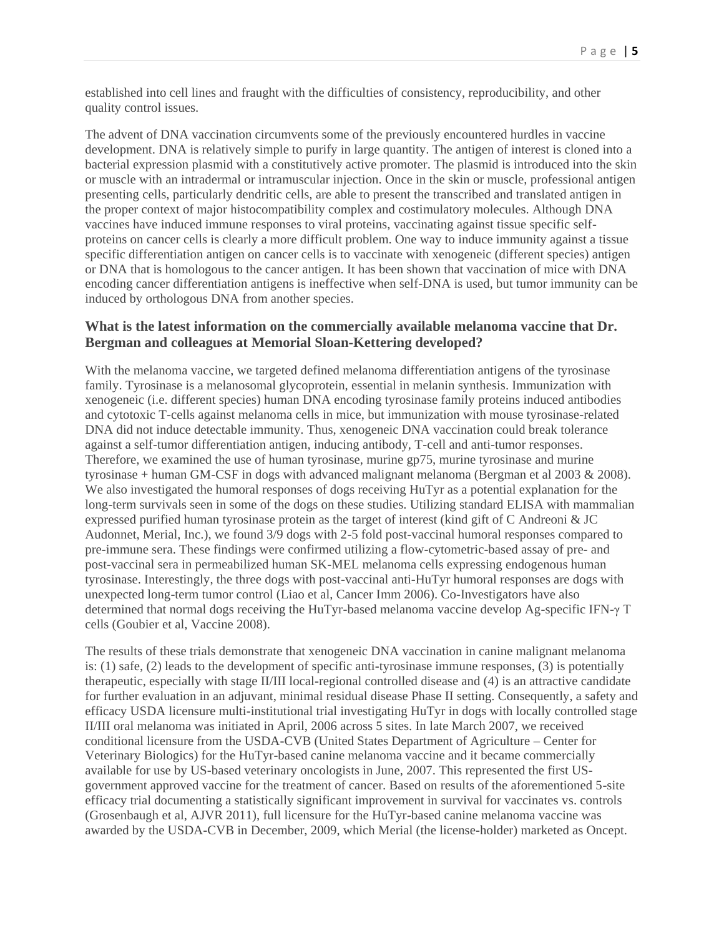established into cell lines and fraught with the difficulties of consistency, reproducibility, and other quality control issues.

The advent of DNA vaccination circumvents some of the previously encountered hurdles in vaccine development. DNA is relatively simple to purify in large quantity. The antigen of interest is cloned into a bacterial expression plasmid with a constitutively active promoter. The plasmid is introduced into the skin or muscle with an intradermal or intramuscular injection. Once in the skin or muscle, professional antigen presenting cells, particularly dendritic cells, are able to present the transcribed and translated antigen in the proper context of major histocompatibility complex and costimulatory molecules. Although DNA vaccines have induced immune responses to viral proteins, vaccinating against tissue specific selfproteins on cancer cells is clearly a more difficult problem. One way to induce immunity against a tissue specific differentiation antigen on cancer cells is to vaccinate with xenogeneic (different species) antigen or DNA that is homologous to the cancer antigen. It has been shown that vaccination of mice with DNA encoding cancer differentiation antigens is ineffective when self-DNA is used, but tumor immunity can be induced by orthologous DNA from another species.

### **What is the latest information on the commercially available melanoma vaccine that Dr. Bergman and colleagues at Memorial Sloan-Kettering developed?**

With the melanoma vaccine, we targeted defined melanoma differentiation antigens of the tyrosinase family. Tyrosinase is a melanosomal glycoprotein, essential in melanin synthesis. Immunization with xenogeneic (i.e. different species) human DNA encoding tyrosinase family proteins induced antibodies and cytotoxic T-cells against melanoma cells in mice, but immunization with mouse tyrosinase-related DNA did not induce detectable immunity. Thus, xenogeneic DNA vaccination could break tolerance against a self-tumor differentiation antigen, inducing antibody, T-cell and anti-tumor responses. Therefore, we examined the use of human tyrosinase, murine gp75, murine tyrosinase and murine tyrosinase + human GM-CSF in dogs with advanced malignant melanoma (Bergman et al 2003 & 2008). We also investigated the humoral responses of dogs receiving HuTyr as a potential explanation for the long-term survivals seen in some of the dogs on these studies. Utilizing standard ELISA with mammalian expressed purified human tyrosinase protein as the target of interest (kind gift of C Andreoni & JC Audonnet, Merial, Inc.), we found 3/9 dogs with 2-5 fold post-vaccinal humoral responses compared to pre-immune sera. These findings were confirmed utilizing a flow-cytometric-based assay of pre- and post-vaccinal sera in permeabilized human SK-MEL melanoma cells expressing endogenous human tyrosinase. Interestingly, the three dogs with post-vaccinal anti-HuTyr humoral responses are dogs with unexpected long-term tumor control (Liao et al, Cancer Imm 2006). Co-Investigators have also determined that normal dogs receiving the HuTyr-based melanoma vaccine develop Ag-specific IFN-γ T cells (Goubier et al, Vaccine 2008).

The results of these trials demonstrate that xenogeneic DNA vaccination in canine malignant melanoma is: (1) safe, (2) leads to the development of specific anti-tyrosinase immune responses, (3) is potentially therapeutic, especially with stage II/III local-regional controlled disease and (4) is an attractive candidate for further evaluation in an adjuvant, minimal residual disease Phase II setting. Consequently, a safety and efficacy USDA licensure multi-institutional trial investigating HuTyr in dogs with locally controlled stage II/III oral melanoma was initiated in April, 2006 across 5 sites. In late March 2007, we received conditional licensure from the USDA-CVB (United States Department of Agriculture – Center for Veterinary Biologics) for the HuTyr-based canine melanoma vaccine and it became commercially available for use by US-based veterinary oncologists in June, 2007. This represented the first USgovernment approved vaccine for the treatment of cancer. Based on results of the aforementioned 5-site efficacy trial documenting a statistically significant improvement in survival for vaccinates vs. controls (Grosenbaugh et al, AJVR 2011), full licensure for the HuTyr-based canine melanoma vaccine was awarded by the USDA-CVB in December, 2009, which Merial (the license-holder) marketed as Oncept.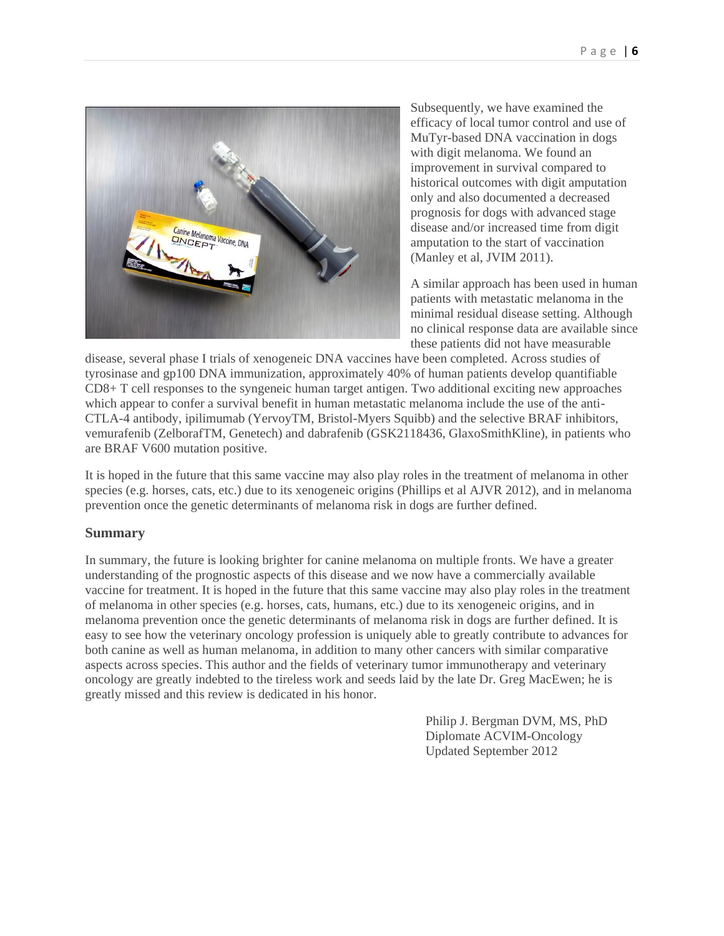

Subsequently, we have examined the efficacy of local tumor control and use of MuTyr-based DNA vaccination in dogs with digit melanoma. We found an improvement in survival compared to historical outcomes with digit amputation only and also documented a decreased prognosis for dogs with advanced stage disease and/or increased time from digit amputation to the start of vaccination (Manley et al, JVIM 2011).

A similar approach has been used in human patients with metastatic melanoma in the minimal residual disease setting. Although no clinical response data are available since these patients did not have measurable

disease, several phase I trials of xenogeneic DNA vaccines have been completed. Across studies of tyrosinase and gp100 DNA immunization, approximately 40% of human patients develop quantifiable CD8+ T cell responses to the syngeneic human target antigen. Two additional exciting new approaches which appear to confer a survival benefit in human metastatic melanoma include the use of the anti-CTLA-4 antibody, ipilimumab (YervoyTM, Bristol-Myers Squibb) and the selective BRAF inhibitors, vemurafenib (ZelborafTM, Genetech) and dabrafenib (GSK2118436, GlaxoSmithKline), in patients who are BRAF V600 mutation positive.

It is hoped in the future that this same vaccine may also play roles in the treatment of melanoma in other species (e.g. horses, cats, etc.) due to its xenogeneic origins (Phillips et al AJVR 2012), and in melanoma prevention once the genetic determinants of melanoma risk in dogs are further defined.

# **Summary**

In summary, the future is looking brighter for canine melanoma on multiple fronts. We have a greater understanding of the prognostic aspects of this disease and we now have a commercially available vaccine for treatment. It is hoped in the future that this same vaccine may also play roles in the treatment of melanoma in other species (e.g. horses, cats, humans, etc.) due to its xenogeneic origins, and in melanoma prevention once the genetic determinants of melanoma risk in dogs are further defined. It is easy to see how the veterinary oncology profession is uniquely able to greatly contribute to advances for both canine as well as human melanoma, in addition to many other cancers with similar comparative aspects across species. This author and the fields of veterinary tumor immunotherapy and veterinary oncology are greatly indebted to the tireless work and seeds laid by the late Dr. Greg MacEwen; he is greatly missed and this review is dedicated in his honor.

> Philip J. Bergman DVM, MS, PhD Diplomate ACVIM-Oncology Updated September 2012